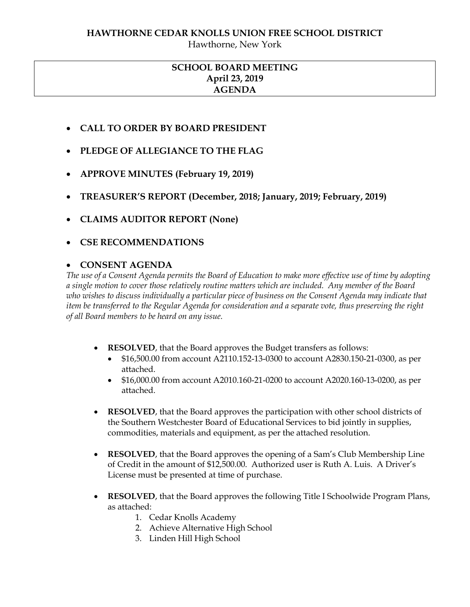#### **HAWTHORNE CEDAR KNOLLS UNION FREE SCHOOL DISTRICT**

Hawthorne, New York

# **SCHOOL BOARD MEETING April 23, 2019 AGENDA**

- **CALL TO ORDER BY BOARD PRESIDENT**
- **PLEDGE OF ALLEGIANCE TO THE FLAG**
- **APPROVE MINUTES (February 19, 2019)**
- **TREASURER'S REPORT (December, 2018; January, 2019; February, 2019)**
- **CLAIMS AUDITOR REPORT (None)**
- **CSE RECOMMENDATIONS**

### **CONSENT AGENDA**

*The use of a Consent Agenda permits the Board of Education to make more effective use of time by adopting a single motion to cover those relatively routine matters which are included. Any member of the Board who wishes to discuss individually a particular piece of business on the Consent Agenda may indicate that item be transferred to the Regular Agenda for consideration and a separate vote, thus preserving the right of all Board members to be heard on any issue.* 

- **RESOLVED**, that the Board approves the Budget transfers as follows:
	- \$16,500.00 from account A2110.152-13-0300 to account A2830.150-21-0300, as per attached.
	- \$16,000.00 from account A2010.160-21-0200 to account A2020.160-13-0200, as per attached.
- **RESOLVED**, that the Board approves the participation with other school districts of the Southern Westchester Board of Educational Services to bid jointly in supplies, commodities, materials and equipment, as per the attached resolution.
- **RESOLVED**, that the Board approves the opening of a Sam's Club Membership Line of Credit in the amount of \$12,500.00. Authorized user is Ruth A. Luis. A Driver's License must be presented at time of purchase.
- **RESOLVED**, that the Board approves the following Title I Schoolwide Program Plans, as attached:
	- 1. Cedar Knolls Academy
	- 2. Achieve Alternative High School
	- 3. Linden Hill High School